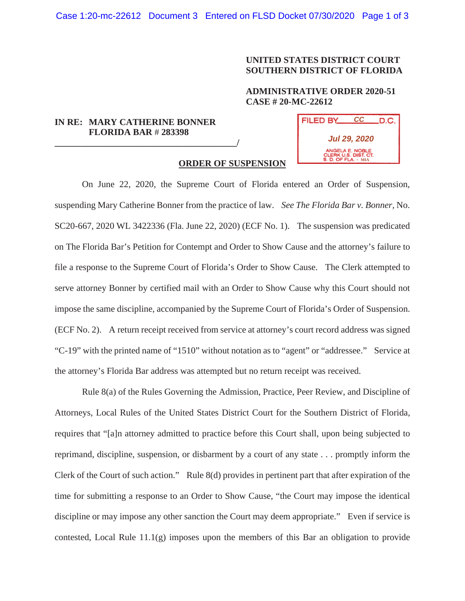## **UNITED STATES DISTRICT COURT SOUTHERN DISTRICT OF FLORIDA**

### **ADMINISTRATIVE ORDER 2020-51 CASE # 20-MC-22612**

# **IN RE: MARY CATHERINE BONNER FLORIDA BAR** # **283398**

**\_\_\_\_\_\_\_\_\_\_\_\_\_\_\_\_\_\_\_\_\_\_\_\_\_\_\_\_\_\_\_\_\_\_\_\_\_\_\_\_/**

| <b>FILED BY</b>                                                              | СC | .D.C. |
|------------------------------------------------------------------------------|----|-------|
| Jul 29, 2020                                                                 |    |       |
| ANGELA E. NOBLE<br><b>CLERK U.S. DIST. CT.</b><br><b>S. D. OF FLA. - MIA</b> |    |       |

## **ORDER OF SUSPENSION**

On June 22, 2020, the Supreme Court of Florida entered an Order of Suspension, suspending Mary Catherine Bonner from the practice of law. *See The Florida Bar v. Bonner,* No. SC20-667, 2020 WL 3422336 (Fla. June 22, 2020) (ECF No. 1). The suspension was predicated on The Florida Bar's Petition for Contempt and Order to Show Cause and the attorney's failure to file a response to the Supreme Court of Florida's Order to Show Cause. The Clerk attempted to serve attorney Bonner by certified mail with an Order to Show Cause why this Court should not impose the same discipline, accompanied by the Supreme Court of Florida's Order of Suspension. (ECF No. 2). A return receipt received from service at attorney's court record address was signed "C-19" with the printed name of "1510" without notation as to "agent" or "addressee." Service at the attorney's Florida Bar address was attempted but no return receipt was received.

Rule 8(a) of the Rules Governing the Admission, Practice, Peer Review, and Discipline of Attorneys, Local Rules of the United States District Court for the Southern District of Florida, requires that "[a]n attorney admitted to practice before this Court shall, upon being subjected to reprimand, discipline, suspension, or disbarment by a court of any state . . . promptly inform the Clerk of the Court of such action." Rule 8(d) provides in pertinent part that after expiration of the time for submitting a response to an Order to Show Cause, "the Court may impose the identical discipline or may impose any other sanction the Court may deem appropriate." Even if service is contested, Local Rule 11.1(g) imposes upon the members of this Bar an obligation to provide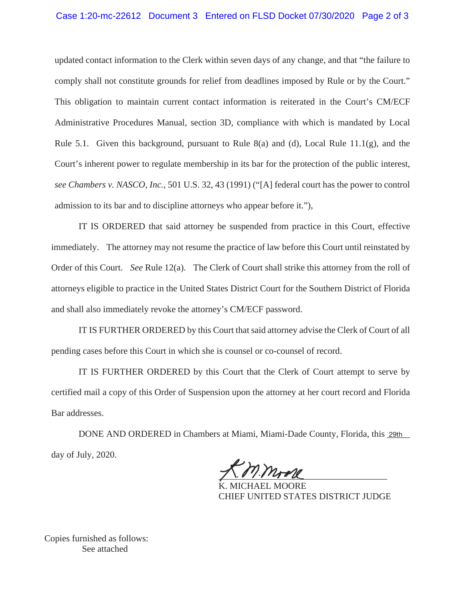#### Case 1:20-mc-22612 Document 3 Entered on FLSD Docket 07/30/2020 Page 2 of 3

updated contact information to the Clerk within seven days of any change, and that "the failure to comply shall not constitute grounds for relief from deadlines imposed by Rule or by the Court." This obligation to maintain current contact information is reiterated in the Court's CM/ECF Administrative Procedures Manual, section 3D, compliance with which is mandated by Local Rule 5.1. Given this background, pursuant to Rule 8(a) and (d), Local Rule 11.1(g), and the Court's inherent power to regulate membership in its bar for the protection of the public interest, *see Chambers v. NASCO, Inc.*, 501 U.S. 32, 43 (1991) ("[A] federal court has the power to control admission to its bar and to discipline attorneys who appear before it."),

IT IS ORDERED that said attorney be suspended from practice in this Court, effective immediately. The attorney may not resume the practice of law before this Court until reinstated by Order of this Court. *See* Rule 12(a). The Clerk of Court shall strike this attorney from the roll of attorneys eligible to practice in the United States District Court for the Southern District of Florida and shall also immediately revoke the attorney's CM/ECF password.

IT IS FURTHER ORDERED by this Court that said attorney advise the Clerk of Court of all pending cases before this Court in which she is counsel or co-counsel of record.

IT IS FURTHER ORDERED by this Court that the Clerk of Court attempt to serve by certified mail a copy of this Order of Suspension upon the attorney at her court record and Florida Bar addresses.

DONE AND ORDERED in Chambers at Miami, Miami-Dade County, Florida, this **29th** day of July, 2020.

 $7111772$  $71.0777772$ 

K. MICHAEL MOORE CHIEF UNITED STATES DISTRICT JUDGE

Copies furnished as follows: See attached